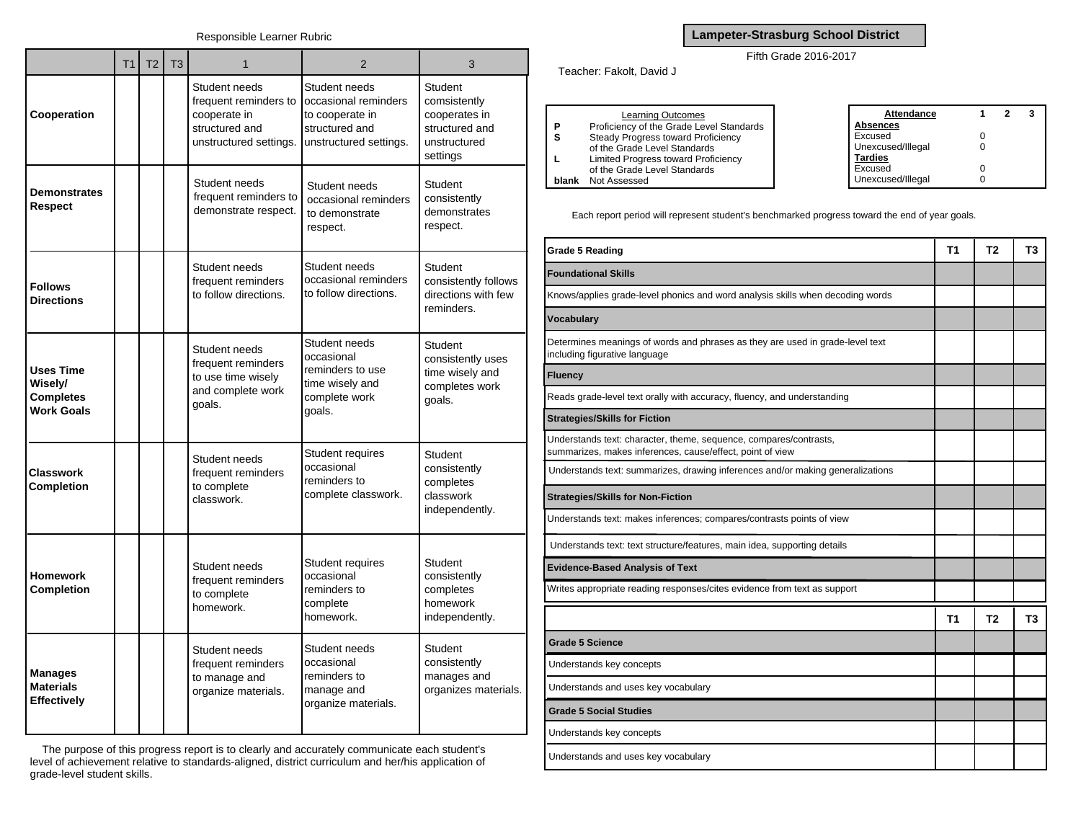|                                                                      | T <sub>1</sub> | T <sub>2</sub> | T <sub>3</sub> | 1                                                                                                  | 2                                                                                                    | 3                                                                                      |
|----------------------------------------------------------------------|----------------|----------------|----------------|----------------------------------------------------------------------------------------------------|------------------------------------------------------------------------------------------------------|----------------------------------------------------------------------------------------|
| Cooperation                                                          |                |                |                | Student needs<br>frequent reminders to<br>cooperate in<br>structured and<br>unstructured settings. | Student needs<br>occasional reminders<br>to cooperate in<br>structured and<br>unstructured settings. | Student<br>comsistently<br>cooperates in<br>structured and<br>unstructured<br>settings |
| <b>Demonstrates</b><br>Respect                                       |                |                |                | Student needs<br>frequent reminders to<br>demonstrate respect.                                     | Student needs<br>occasional reminders<br>to demonstrate<br>respect.                                  | Student<br>consistently<br>demonstrates<br>respect.                                    |
| <b>Follows</b><br><b>Directions</b>                                  |                |                |                | Student needs<br>frequent reminders<br>to follow directions.                                       | Student needs<br>occasional reminders<br>to follow directions.                                       | Student<br>consistently follows<br>directions with few<br>reminders.                   |
| <b>Uses Time</b><br>Wisely/<br><b>Completes</b><br><b>Work Goals</b> |                |                |                | Student needs<br>frequent reminders<br>to use time wisely<br>and complete work<br>goals.           | Student needs<br>occasional<br>reminders to use<br>time wisely and<br>complete work<br>goals.        | <b>Student</b><br>consistently uses<br>time wisely and<br>completes work<br>goals.     |
| <b>Classwork</b><br><b>Completion</b>                                |                |                |                | Student needs<br>frequent reminders<br>to complete<br>classwork.                                   | Student requires<br>occasional<br>reminders to<br>complete classwork.                                | Student<br>consistently<br>completes<br>classwork<br>independently.                    |
| <b>Homework</b><br>Completion                                        |                |                |                | Student needs<br>frequent reminders<br>to complete<br>homework.                                    | Student requires<br>occasional<br>reminders to<br>complete<br>homework.                              | Student<br>consistently<br>completes<br>homework<br>independently.                     |
| <b>Manages</b><br><b>Materials</b><br><b>Effectively</b>             |                |                |                | Student needs<br>frequent reminders<br>to manage and<br>organize materials.                        | Student needs<br>occasional<br>reminders to<br>manage and<br>organize materials.                     | Student<br>consistently<br>manages and<br>organizes materials.                         |

The purpose of this progress report is to clearly and accurately communicate each student's level of achievement relative to standards-aligned, district curriculum and her/his application of grade-level student skills.

## **Lampeter-Strasburg School District**

## Fifth Grade 2016-2017

Teacher: Fakolt, David J

|       | Learning Outcomes                        | Attendance        |  |  |
|-------|------------------------------------------|-------------------|--|--|
| D     | Proficiency of the Grade Level Standards | Absences          |  |  |
|       | Steady Progress toward Proficiency       | Excused           |  |  |
|       | of the Grade Level Standards             | Unexcused/Illegal |  |  |
|       | Limited Progress toward Proficiency      | <b>Tardies</b>    |  |  |
|       | of the Grade Level Standards             | Excused           |  |  |
| blank | Not Assessed                             | Unexcused/Illegal |  |  |

Each report period will represent student's benchmarked progress toward the end of year goals.

| <b>Grade 5 Reading</b>                                                                                                         | Τ1             | Т2             | T3             |
|--------------------------------------------------------------------------------------------------------------------------------|----------------|----------------|----------------|
| <b>Foundational Skills</b>                                                                                                     |                |                |                |
| Knows/applies grade-level phonics and word analysis skills when decoding words                                                 |                |                |                |
| <b>Vocabulary</b>                                                                                                              |                |                |                |
| Determines meanings of words and phrases as they are used in grade-level text<br>including figurative language                 |                |                |                |
| <b>Fluency</b>                                                                                                                 |                |                |                |
| Reads grade-level text orally with accuracy, fluency, and understanding                                                        |                |                |                |
| <b>Strategies/Skills for Fiction</b>                                                                                           |                |                |                |
| Understands text: character, theme, sequence, compares/contrasts,<br>summarizes, makes inferences, cause/effect, point of view |                |                |                |
| Understands text: summarizes, drawing inferences and/or making generalizations                                                 |                |                |                |
| <b>Strategies/Skills for Non-Fiction</b>                                                                                       |                |                |                |
| Understands text: makes inferences; compares/contrasts points of view                                                          |                |                |                |
| Understands text: text structure/features, main idea, supporting details                                                       |                |                |                |
| <b>Evidence-Based Analysis of Text</b>                                                                                         |                |                |                |
| Writes appropriate reading responses/cites evidence from text as support                                                       |                |                |                |
|                                                                                                                                | T <sub>1</sub> | T <sub>2</sub> | T <sub>3</sub> |
| <b>Grade 5 Science</b>                                                                                                         |                |                |                |
| Understands key concepts                                                                                                       |                |                |                |
| Understands and uses key vocabulary                                                                                            |                |                |                |
| <b>Grade 5 Social Studies</b>                                                                                                  |                |                |                |
| Understands key concepts                                                                                                       |                |                |                |
| Understands and uses key vocabulary                                                                                            |                |                |                |